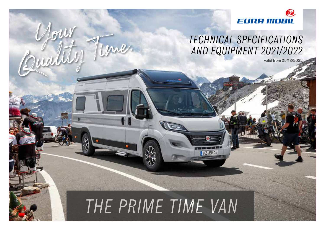

### *TECHNICAL SPECIFICATIONS AND EQUIPMENT 2021/2022*

valid from 05/18/2022

### THE PRIME TIME VAN

MZ.EM13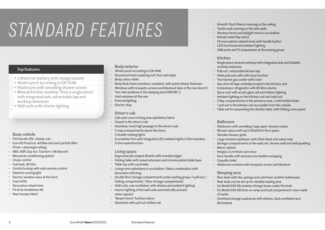## STANDARD FEATURES

#### Top features:

- $\rightarrow$  Lithium ion battery with charge booster
- → Winter-proof according to EN 1646
- → Washroom with swivelling shower screen
- $\rightarrow$  Mineral kitchen worktop "from a single piece", with integrated sink, retractable tap and worktop extension
- $\rightarrow$  Wall units with interior lighting

#### Basic vehicle

- Fiat Ducato 35L chassis, van
- Euro 6D Final incl. Ad Blue and soot particle filter
- Driver + passenger airbag
- ABS, ASR, Esp incl. Traction+, hill descent
- Manual air-conditioning system
- Cruise control
- Fuel tank, 90 litre
- Central locking with radio remote control
- Daytime running light
- Electric window risers at the front
- Cup holder
- Decorative wheel trims
- Fix & Go breakdown kit
- Rear bumper black

#### Body exterior

- Winter-proof according to EN 1646
- Sound and heat insulating roof, floor and sides
- Body colour white
- Body-flush frame windows, insulated, with quick-release fasteners
- Windows with mosquito screens and blackout (also in the rear doors?)
- Two side windows in the sleeping area (595HB: 1)
- Vent windows at the rear
- External lighting
- Electric step

#### Driver's cab

- Cab seat cover in living area upholstery fabric
- Carpet in the driver's cab
- Seamless, head-high passage to the driver's cab
- 2 map compartments above the doors
- 2 double reading lights
- Eco-leather trim with integrated LED ambient lights in the transition to the superstructure

#### Living space

- Ergonomically shaped dinette with rounded edges
- Folding table with swivel extension and chrome-plated table base
- Table top with cup holder
- Living room upholstery in eco-leather / fabric combination with decorative stitching
- Double floor storage compartments under seating group ( 1 pull-out, 1 folding compartment, 1 floor storage compartment)
- Wall units, rear-ventilated, with shelves and ambient lighting
- Interior lighting of the wall units automatically activate
- when opened
- "Beach Home" furniture décor
- Wardrobe with pull-out clothes rail
- Smooth Touch fleece covering on the ceiling
- Textile wall covering on the side walls
- Window frame and skylight trims in eco-leather
- Robust metal flap stand
- Chrome-plated cabinet locks with handle button
- LED functional and ambient lighting
- USB ports and TV preparation at the seating group

#### Kitchen

- Single-piece mineral worktop with integrated sink and foldable worktop extension
- Pull-out / retractable kitchen tap
- Wide pull-outs with soft-close function
- Two-burner gas cooker with cover
- Gas shut-off taps centrally located in the kitchen unit
- Compressor refrigerator with 90-litre volume
- Spice rack with acrylic glass rail and indirect lighting
- Ambient lighting on the kitchen unit and wall unit
- 2 flap compartments in the entrance area, 1 with bottle holder
- 1 pull-out in the kitchen unit accessible from the outside
- Table rail for suspending the dinette table, with folding cover panel

#### Bathroom

- Washroom with swivelling "easy-open" shower screen
- Shower space with up to 60x90cm floor space
- Wooden shower grate
- Large mineral washbasin with Click-Clack anti-odour trap
- Storage compartments in the wall unit, shower wall and wall panelling
- Mirror cabinet
- Hinged, 3 cm-thick room door
	- Door handle with exclusive eco-leather wrapping
- Cassette toilet
- Washroom window with mosquito screen and blackout

#### Sleeping area

- Rear beds with disc springs and cold foam comfort mattresses
- Rear beds can be set up for variable loading area
- On Model 635 EB modular storage boxes under the beds
- On Model 635 HB drive-on ramp and load compartment cover made of metal
- Overhead storage cupboards with shelves, back-ventilated and illuminated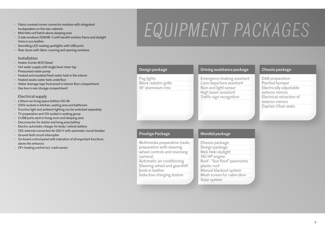- Fabric-covered corner connector modules with integrated loudspeakers on the rear cabinets
- Midi Heki roof hatch above sleeping area
- 2 side windows (635HB: 1) with backlit window frame and skylight trims in eco-leather
- Swivelling LED reading spotlights with USB ports
- Rear doors with fabric covering and opening windows

#### Installation

- Heater Combi 4KW Diesel
- Hot water supply with single-lever mixer tap
- Pressurised water pump
- Heated and insulated fresh water tank in the interior
- Heated waste water tank underfloor
- Water drainage taps frost-proof in interior floor compartment
- Gas box in rear storage compartment

#### Electrical supply

- Lithium-ion living space battery 100 Ah
- 230V sockets in kitchen, seating area and bathroom
- Function light and ambient lighting can be switched separately
- TV preparation and 12V socket in seating group
- 2 USB ports each in living room and sleeping area
- Disconnector for starter and living area battery
- Electric automatic charger for body / vehicle battery
- CEE external connection for 230 V with automatic circuit breaker
- Ground fault circuit interrupter
- On-board control panel with indication of all important functions above the entrance
- CP+ heating control incl. crash sensor

# EQUIPMENT PACKAGES

| Design package                                                                                                                                                                                                       | Driving assistance package                                                                                                                                                                      | Chassis package                                                                                                                                         |
|----------------------------------------------------------------------------------------------------------------------------------------------------------------------------------------------------------------------|-------------------------------------------------------------------------------------------------------------------------------------------------------------------------------------------------|---------------------------------------------------------------------------------------------------------------------------------------------------------|
| Fog lights<br>Black radiator grille<br>16" aluminium rims                                                                                                                                                            | Emergency braking assistant<br>Lane departure assistant<br>Rain and light sensor<br>High beam assistant<br>Traffic sign recognition                                                             | DAB preparation<br>Painted bumper<br>Electrically adjustable<br>exterior mirrors<br>Electrical retraction of<br>exterior mirrors<br>Captain Chair seats |
| <b>Prestige Package</b>                                                                                                                                                                                              | Mondial package                                                                                                                                                                                 |                                                                                                                                                         |
| Multimedia preparation (radio<br>preparation with steering<br>wheel controls and reversing<br>camera)<br>Automatic air conditioning<br>Steering wheel and gearshift<br>knob in leather<br>Inductive charging station | Chassis package<br>Design package<br>Midi-Heki skylight<br>140 HP engine<br>Roof - "Sun Roof" panoramic<br>plastic roof<br>Manual blackout system<br>Mesh screen for cabin door<br>Solar system |                                                                                                                                                         |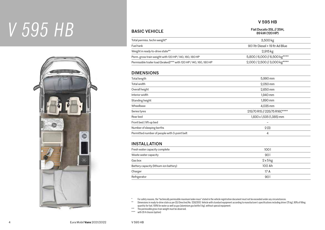## *V 595 HB*



### V 595 HB

BASIC VEHICLE Fiat Ducato 35L// 35H, 89 kW (120 HP)

| Total permiss. techn weight*                                        | 3,500 kg                       |  |  |  |
|---------------------------------------------------------------------|--------------------------------|--|--|--|
| Fueltank                                                            | 90 Htr Diesel + 19 ltr Ad Blue |  |  |  |
| Weight in ready-to-drive state**                                    | 2,915 kg                       |  |  |  |
| Perm. gross train weight with 120 HP / 140, 160, 180 HP             | 5,800 / 6,000 // 6,500 kg****  |  |  |  |
| Permissible trailer load (braked)*** with 120 HP / 140, 160, 180 HP | 2,000 / 2,500 // 3,000 kg****  |  |  |  |

#### DIMENSIONS

| Total length                                 | 5,990 mm                      |  |
|----------------------------------------------|-------------------------------|--|
| Total width                                  | 2,050 mm                      |  |
| Overall height                               | 2,650 mm                      |  |
| Interior width                               | 1,940 mm                      |  |
| Standing height                              | 1,890 mm                      |  |
| Wheelbase                                    | 4,035 mm                      |  |
| Series tyres                                 | 215/70 R15 // 225/75 R16C**** |  |
| Rear bed                                     | 1,830 x 1,535 (1,385) mm      |  |
| Front bed / lift-up bed                      | -                             |  |
| Number of sleeping berths                    | 2(3)                          |  |
| Permitted number of people with 3-point belt | 4                             |  |
|                                              |                               |  |

### INSTALLATION

| Fresh water capacity complete          | 1001     |
|----------------------------------------|----------|
| Waste water capacity                   | 901      |
| Gas box                                | $2x5$ kg |
| Battery capacity (lithium-ion battery) | 100 Ah   |
| Charger                                | 17 A     |
| Refrigerator                           | 901      |
|                                        |          |

\* For safety reasons, the "technically permissible maximum laden mass" stated in the vehicle registration document must not be exceeded under any circumstances.

\*\* Dimensions in ready-to-drive state as per (EU Directive) No. 1230/2012: Vehicle with standard equipment according to manufacturer's specifications including driver (75 kg), 90% of filling quantity for fuel, 100% for water as well as gas (aluminium gas bottle 5 kg), without special equipment.

\*\*\* The permissible gross train weight must be observed.

\*\*\*\* with 35 H chassis (option)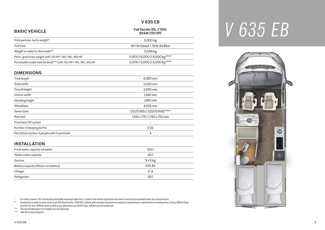#### V 635 EB

### BASIC VEHICLE Fiat Ducato 35L // 35H, 89 kW (120 HP)

| Total permiss. techn weight*                                        | 3,500 kg                       |
|---------------------------------------------------------------------|--------------------------------|
| <b>Fuel tank</b>                                                    | 90 Utr Diesel + 19 ltr Ad Blue |
| Weight in ready-to-drive state**                                    | 3,045 kg                       |
| Perm. gross train weight with 120 HP / 140, 160, 180 HP             | 5,800/6,000//6,500 kg****      |
| Permissible trailer load (braked)*** with 120 HP / 140, 160, 180 HP | 2,000 / 2,500 // 3,000 kg****  |

#### DIMENSIONS

| Total length                                 | 6,360 mm                      |
|----------------------------------------------|-------------------------------|
| Total width                                  | 2,050 mm                      |
| Overall height                               | 2,650 mm                      |
| Interior width                               | 1,940 mm                      |
| Standing height                              | 1,890 mm                      |
| Wheelbase                                    | 4,035 mm                      |
| Series tyres                                 | 215/70 R15 // 225/75 R16C**** |
| Rear bed                                     | 1,910 x 770 / 1,780 x 750 mm  |
| Front bed / lift-up bed                      |                               |
| Number of sleeping berths                    | 2(3)                          |
| Permitted number of people with 3-point belt | 4                             |

#### INSTALLATION

| Fresh water capacity complete          | 1001     |
|----------------------------------------|----------|
| Waste water capacity                   | 901      |
| Gas box                                | $2x5$ kg |
| Battery capacity (lithium-ion battery) | 100 Ah   |
| Charger                                | 17 A     |
| Refrigerator                           | 90 l     |

\* For safety reasons, the "technically permissible maximum laden mass" stated in the vehicle registration document must not be exceeded under any circumstances.

\*\* Dimensions in ready-to-drive state as per (EU Directive) No. 1230/2012: Vehicle with standard equipment according to manufacturer's specifications including driver (75 kg), 90% of filling quantity for fuel, 100% for water as well as gas (aluminium gas bottle 5 kg), without special equipment.

\*\*\* The permissible gross train weight must be observed.

\*\*\*\* with 35 H chassis (option)



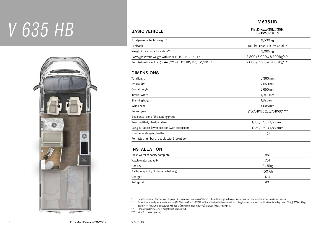## *V 635 HB*



#### V 635 HB

BASIC VEHICLE Fiat Ducato 35L // 35H, 89 kW (120 HP)

| Total permiss, techn weight*                                        | 3,500 kg                         |  |  |  |
|---------------------------------------------------------------------|----------------------------------|--|--|--|
| <b>Fueltank</b>                                                     | 90 I Itr Diesel + 19 Itr Ad Blue |  |  |  |
| Weight in ready-to-drive state**                                    | 3,065 kg                         |  |  |  |
| Perm. gross train weight with 120 HP / 140, 160, 180 HP             | 5,800 / 6,000 // 6,500 kg****    |  |  |  |
| Permissible trailer load (braked)*** with 120 HP / 140, 160, 180 HP | 2,000 / 2,500 // 3,000 kg****    |  |  |  |

#### DIMENSIONS

| Total length                                     | 6,360 mm                      |  |
|--------------------------------------------------|-------------------------------|--|
| Total width                                      | 2,050 mm                      |  |
| Overall height                                   | 2,650 mm                      |  |
| Interior width                                   | 1,940 mm                      |  |
| Standing height                                  | 1,890 mm                      |  |
| Wheelbase                                        | 4,035 mm                      |  |
| Series tyres                                     | 215/70 R15 // 225/75 R16C**** |  |
| Bed conversion of the seating group              |                               |  |
| Rear bed (height-adjustable)                     | 1,850/1,750 x 1,580 mm        |  |
| Lying surface in lower position (with extension) | 1,850/1,750 x 1,880 mm        |  |
| Number of sleeping berths                        | 2(3)                          |  |
| Permitted number of people with 3-point belt     | 4                             |  |
|                                                  |                               |  |

#### INSTALLATION

| Fresh water capacity complete          | 851      |
|----------------------------------------|----------|
| Waste water capacity                   | 751      |
| Gas box                                | $2x5$ kg |
| Battery capacity (lithium-ion battery) | 100 Ah   |
| Charger                                | 17 A     |
| Refrigerator                           | 90 l     |
|                                        |          |

\* For safety reasons, the "technically permissible maximum laden mass" stated in the vehicle registration document must not be exceeded under any circumstances.<br>\*\* Dimensions in ready to-drive state as ner (FII Directive)

\*\* Dimensions in ready-to-drive state as per (EU Directive) No. 1230/2012: Vehicle with standard equipment according to manufacturer's specifications including driver (75 kg), 90% of filling quantity for fuel, 100% for water as well as gas (aluminium gas bottle 5 kg), without special equipment.

\*\*\* The permissible gross train weight must be observed.

\*\*\*\* with 35 H chassis (option)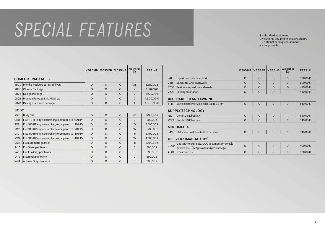## SPECIAL FEATURES

S = standard equipment O = optional equipment at extra charge P = optional package equipment – = not possible

|             |                                                   | V 595 HB | V 635 EB | V 635 HB | Weight in<br>kg | RRP in $\epsilon$ |
|-------------|---------------------------------------------------|----------|----------|----------|-----------------|-------------------|
|             | <b>COMFORT PACKAGES</b>                           |          |          |          |                 |                   |
| 4500        | Mondial Package Eura Mobil Van                    | $\circ$  | $\Omega$ | $\Omega$ | 72              | 3.580,00€         |
| 2820        | Chassis Package                                   | $\Omega$ | $\Omega$ | $\Omega$ | $\overline{2}$  | 1.190,00€         |
| 2823        | Design Package                                    | $\Omega$ | $\Omega$ | $\Omega$ | $\mathfrak{D}$  | 1.290,00€         |
| 2822        | Prestige Package Eura Mobil Van                   | $\circ$  | $\circ$  | $\Omega$ | 5               | 1.300,00€         |
| 2823        | Driving assistance package                        | $\circ$  | $\circ$  | $\Omega$ | $\mathbf{1}$    | 1.090,00€         |
| <b>BODY</b> |                                                   |          |          |          |                 |                   |
| 2315        | Body 35H                                          | $\circ$  | $\Omega$ | $\circ$  | 40              | 1.090,00€         |
| 2110        | Fiat 140 HP engine (surcharge compared to 120 HP) | $\circ$  | $\Omega$ | $\Omega$ | $\overline{0}$  | 990,00€           |
| 2111        | Fiat 160 HP engine (surcharge compared to 120 HP) | $\circ$  | $\Omega$ | $\Omega$ | 15              | 3.390,00€         |
| 2112        | Fiat 180 HP engine (surcharge compared to 120 HP) | $\Omega$ | $\Omega$ | $\Omega$ | 15              | 5.290,00€         |
| 2117        | Fiat 160 HP engine (surcharge compared to 140 HP) | $\circ$  | $\circ$  | $\Omega$ | 15              | 2.400,00€         |
| 2119        | Fiat 180 HP engine (surcharge compared to 140 HP) | $\Omega$ | $\Omega$ | $\Omega$ | 15              | 4.300,00€         |
| 2131        | Fiat automatic gearbox                            | $\circ$  | $\circ$  | $\Omega$ | 18              | 3.790,00€         |
| 2417        | Fiat Silver paintwork                             | $\Omega$ | $\Omega$ | $\Omega$ | $\Omega$        | 890,00€           |
| 2411        | Fiat Iron Grey paintwork                          | $\circ$  | $\circ$  | $\Omega$ | $\overline{0}$  | 890,00€           |
| 2412        | Fiat Black paintwork                              | $\Omega$ | $\circ$  | $\Omega$ | $\mathbf 0$     | 890,00€           |
| 2414        | Artense Grey paintwork                            | $\circ$  | $\circ$  | $\circ$  | $\mathbf 0$     | 890,00€           |

|      |                                       |  | V 595 HB V 635 EB V 635 HB Weight in | RRP in $\epsilon$ |
|------|---------------------------------------|--|--------------------------------------|-------------------|
| 2415 | Expedition Grey paintwork             |  |                                      |                   |
|      | 2416   Lanzarote Grey paintwork       |  |                                      | 890.00€           |
|      | 2750 Seat heating in driver cab seats |  |                                      |                   |
|      | 2593 Parking assistance               |  |                                      |                   |

#### BIKE CARRIER AND AWNING

| 5141<br>$\vert$ Bicycle carrier for 2 bicycles (up to 30 kg) |  |  |  |  |  |
|--------------------------------------------------------------|--|--|--|--|--|
|--------------------------------------------------------------|--|--|--|--|--|

#### SUPPLY TECHNOLOGY

| 7221         | E heating د |  |  |  |
|--------------|-------------|--|--|--|
| 7999<br>1222 | E heating ا |  |  |  |

#### MULTIMEDIA

| 3430   Flat screen wall bracket in front area |
|-----------------------------------------------|
|-----------------------------------------------|

#### DELIVERY (MANDATORY)

| tificate, COC documents or vehicle |  |  |  |
|------------------------------------|--|--|--|
| <br>IV approval and pre-carriage   |  |  |  |
|                                    |  |  |  |